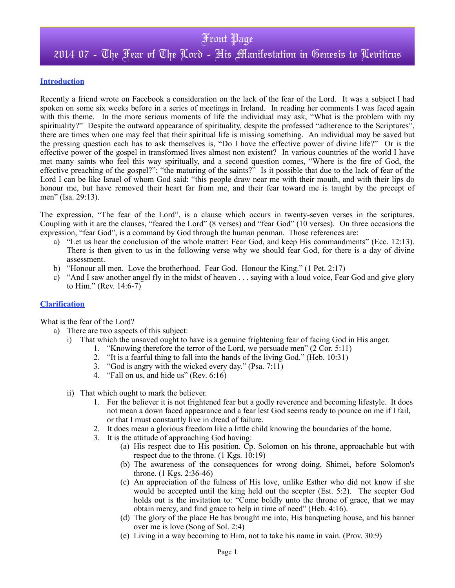#### **Introduction**

Recently a friend wrote on Facebook a consideration on the lack of the fear of the Lord. It was a subject I had spoken on some six weeks before in a series of meetings in Ireland. In reading her comments I was faced again with this theme. In the more serious moments of life the individual may ask, "What is the problem with my spirituality?" Despite the outward appearance of spirituality, despite the professed "adherence to the Scriptures", there are times when one may feel that their spiritual life is missing something. An individual may be saved but the pressing question each has to ask themselves is, "Do I have the effective power of divine life?" Or is the effective power of the gospel in transformed lives almost non existent? In various countries of the world I have met many saints who feel this way spiritually, and a second question comes, "Where is the fire of God, the effective preaching of the gospel?"; "the maturing of the saints?" Is it possible that due to the lack of fear of the Lord I can be like Israel of whom God said: "this people draw near me with their mouth, and with their lips do honour me, but have removed their heart far from me, and their fear toward me is taught by the precept of men" (Isa. 29:13).

The expression, "The fear of the Lord", is a clause which occurs in twenty-seven verses in the scriptures. Coupling with it are the clauses, "feared the Lord" (8 verses) and "fear God" (10 verses). On three occasions the expression, "fear God", is a command by God through the human penman. Those references are:

- a) "Let us hear the conclusion of the whole matter: Fear God, and keep His commandments" (Ecc. 12:13). There is then given to us in the following verse why we should fear God, for there is a day of divine assessment.
- b) "Honour all men. Love the brotherhood. Fear God. Honour the King." (1 Pet. 2:17)
- c) "And I saw another angel fly in the midst of heaven . . . saying with a loud voice, Fear God and give glory to Him." (Rev. 14:6-7)

#### **Clarification**

What is the fear of the Lord?

- a) There are two aspects of this subject:
	- i) That which the unsaved ought to have is a genuine frightening fear of facing God in His anger.
		- 1. "Knowing therefore the terror of the Lord, we persuade men" (2 Cor. 5:11)
			- 2. "It is a fearful thing to fall into the hands of the living God." (Heb. 10:31)
			- 3. "God is angry with the wicked every day." (Psa. 7:11)
			- 4. "Fall on us, and hide us" (Rev. 6:16)
	- ii) That which ought to mark the believer.
		- 1. For the believer it is not frightened fear but a godly reverence and becoming lifestyle. It does not mean a down faced appearance and a fear lest God seems ready to pounce on me if I fail, or that I must constantly live in dread of failure.
		- 2. It does mean a glorious freedom like a little child knowing the boundaries of the home.
		- 3. It is the attitude of approaching God having:
			- (a) His respect due to His position. Cp. Solomon on his throne, approachable but with respect due to the throne. (1 Kgs. 10:19)
			- (b) The awareness of the consequences for wrong doing, Shimei, before Solomon's throne. (1 Kgs. 2:36-46)
			- (c) An appreciation of the fulness of His love, unlike Esther who did not know if she would be accepted until the king held out the scepter (Est. 5:2). The scepter God holds out is the invitation to: "Come boldly unto the throne of grace, that we may obtain mercy, and find grace to help in time of need" (Heb. 4:16).
			- (d) The glory of the place He has brought me into, His banqueting house, and his banner over me is love (Song of Sol. 2:4)
			- (e) Living in a way becoming to Him, not to take his name in vain. (Prov. 30:9)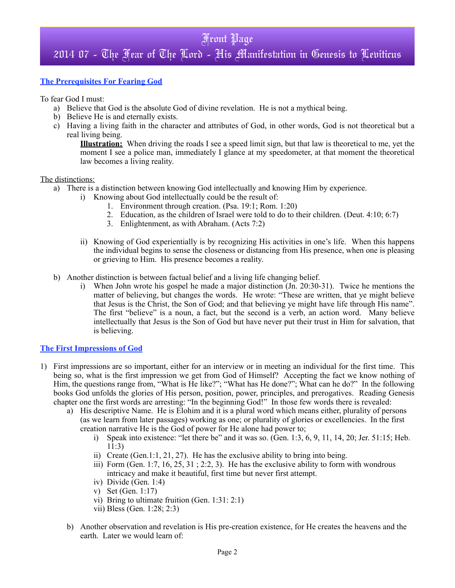# Front Page 2014 07 - The Fear of The Lord - His Manifestation in Genesis to Leviticus

### **The Prerequisites For Fearing God**

To fear God I must:

- a) Believe that God is the absolute God of divine revelation. He is not a mythical being.
- b) Believe He is and eternally exists.
- c) Having a living faith in the character and attributes of God, in other words, God is not theoretical but a real living being.

**Illustration:** When driving the roads I see a speed limit sign, but that law is theoretical to me, yet the moment I see a police man, immediately I glance at my speedometer, at that moment the theoretical law becomes a living reality.

#### The distinctions:

- a) There is a distinction between knowing God intellectually and knowing Him by experience.
	- i) Knowing about God intellectually could be the result of:
		- 1. Environment through creation. (Psa. 19:1; Rom. 1:20)
		- 2. Education, as the children of Israel were told to do to their children. (Deut. 4:10; 6:7)
		- 3. Enlightenment, as with Abraham. (Acts 7:2)
	- ii) Knowing of God experientially is by recognizing His activities in one's life. When this happens the individual begins to sense the closeness or distancing from His presence, when one is pleasing or grieving to Him. His presence becomes a reality.
- b) Another distinction is between factual belief and a living life changing belief.
	- i) When John wrote his gospel he made a major distinction (Jn. 20:30-31). Twice he mentions the matter of believing, but changes the words. He wrote: "These are written, that ye might believe that Jesus is the Christ, the Son of God; and that believing ye might have life through His name". The first "believe" is a noun, a fact, but the second is a verb, an action word. Many believe intellectually that Jesus is the Son of God but have never put their trust in Him for salvation, that is believing.

#### **The First Impressions of God**

- 1) First impressions are so important, either for an interview or in meeting an individual for the first time. This being so, what is the first impression we get from God of Himself? Accepting the fact we know nothing of Him, the questions range from, "What is He like?"; "What has He done?"; What can he do?" In the following books God unfolds the glories of His person, position, power, principles, and prerogatives. Reading Genesis chapter one the first words are arresting: "In the beginning God!" In those few words there is revealed:
	- a) His descriptive Name. He is Elohim and it is a plural word which means either, plurality of persons (as we learn from later passages) working as one; or plurality of glories or excellencies. In the first creation narrative He is the God of power for He alone had power to;
		- i) Speak into existence: "let there be" and it was so. (Gen. 1:3,  $6, 9, 11, 14, 20$ ; Jer. 51:15; Heb. 11:3)
		- ii) Create (Gen.1:1, 21, 27). He has the exclusive ability to bring into being.
		- iii) Form (Gen.  $1:7, 16, 25, 31$ ;  $2:2, 3$ ). He has the exclusive ability to form with wondrous intricacy and make it beautiful, first time but never first attempt.
		- iv) Divide (Gen. 1:4)
		- v) Set (Gen. 1:17)
		- vi) Bring to ultimate fruition (Gen. 1:31: 2:1)
		- vii) Bless (Gen. 1:28; 2:3)
	- b) Another observation and revelation is His pre-creation existence, for He creates the heavens and the earth. Later we would learn of: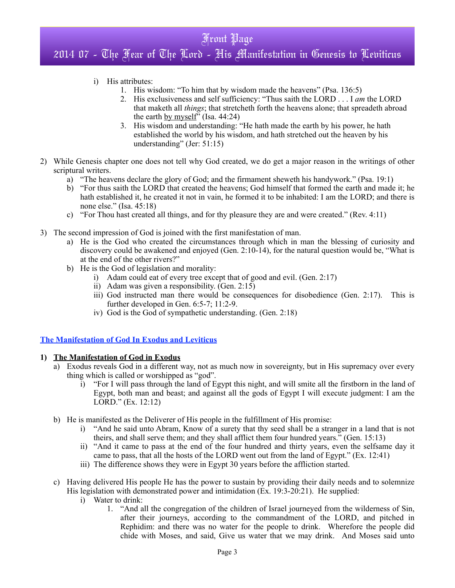# Front Page 2014 07 - The Fear of The Lord - His Manifestation in Genesis to Leviticus

- i) His attributes:
	- 1. His wisdom: "To him that by wisdom made the heavens" (Psa. 136:5)
	- 2. His exclusiveness and self sufficiency: "Thus saith the LORD . . . I *am* the LORD that maketh all *things*; that stretcheth forth the heavens alone; that spreadeth abroad the earth by myself" (Isa. 44:24)
	- 3. His wisdom and understanding: "He hath made the earth by his power, he hath established the world by his wisdom, and hath stretched out the heaven by his understanding" (Jer: 51:15)
- 2) While Genesis chapter one does not tell why God created, we do get a major reason in the writings of other scriptural writers.
	- a) "The heavens declare the glory of God; and the firmament sheweth his handywork." (Psa. 19:1)
	- b) "For thus saith the LORD that created the heavens; God himself that formed the earth and made it; he hath established it, he created it not in vain, he formed it to be inhabited: I am the LORD; and there is none else." (Isa. 45:18)
	- c) "For Thou hast created all things, and for thy pleasure they are and were created." (Rev. 4:11)
- 3) The second impression of God is joined with the first manifestation of man.
	- a) He is the God who created the circumstances through which in man the blessing of curiosity and discovery could be awakened and enjoyed (Gen. 2:10-14), for the natural question would be, "What is at the end of the other rivers?"
	- b) He is the God of legislation and morality:
		- i) Adam could eat of every tree except that of good and evil. (Gen. 2:17)
		- ii) Adam was given a responsibility. (Gen. 2:15)
		- iii) God instructed man there would be consequences for disobedience (Gen. 2:17). This is further developed in Gen. 6:5-7; 11:2-9.
		- iv) God is the God of sympathetic understanding. (Gen. 2:18)

#### **The Manifestation of God In Exodus and Leviticus**

#### **1) The Manifestation of God in Exodus**

- a) Exodus reveals God in a different way, not as much now in sovereignty, but in His supremacy over every thing which is called or worshipped as "god".
	- i) "For I will pass through the land of Egypt this night, and will smite all the firstborn in the land of Egypt, both man and beast; and against all the gods of Egypt I will execute judgment: I am the LORD." (Ex. 12:12)
- b) He is manifested as the Deliverer of His people in the fulfillment of His promise:
	- i) "And he said unto Abram, Know of a surety that thy seed shall be a stranger in a land that is not theirs, and shall serve them; and they shall afflict them four hundred years." (Gen. 15:13)
	- ii) "And it came to pass at the end of the four hundred and thirty years, even the selfsame day it came to pass, that all the hosts of the LORD went out from the land of Egypt." (Ex. 12:41)
	- iii) The difference shows they were in Egypt 30 years before the affliction started.
- c) Having delivered His people He has the power to sustain by providing their daily needs and to solemnize His legislation with demonstrated power and intimidation (Ex. 19:3-20:21). He supplied:
	- i) Water to drink:
		- 1. "And all the congregation of the children of Israel journeyed from the wilderness of Sin, after their journeys, according to the commandment of the LORD, and pitched in Rephidim: and there was no water for the people to drink. Wherefore the people did chide with Moses, and said, Give us water that we may drink. And Moses said unto